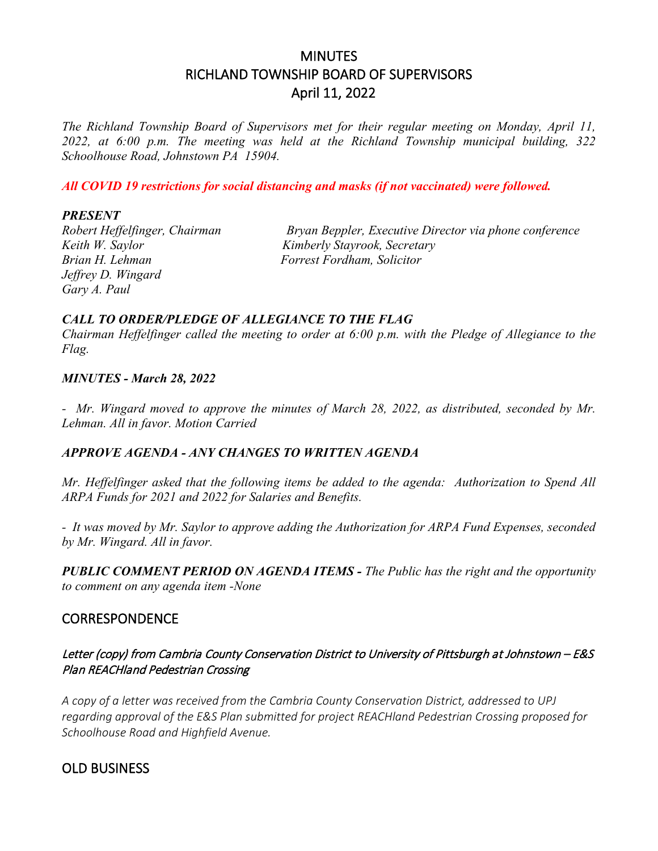# MINUTES RICHLAND TOWNSHIP BOARD OF SUPERVISORS April 11, 2022

*The Richland Township Board of Supervisors met for their regular meeting on Monday, April 11, 2022, at 6:00 p.m. The meeting was held at the Richland Township municipal building, 322 Schoolhouse Road, Johnstown PA 15904.*

*All COVID 19 restrictions for social distancing and masks (if not vaccinated) were followed.*

#### *PRESENT*

*Keith W. Saylor Kimberly Stayrook, Secretary Brian H. Lehman Forrest Fordham, Solicitor Jeffrey D. Wingard Gary A. Paul*

*Robert Heffelfinger, Chairman Bryan Beppler, Executive Director via phone conference*

## *CALL TO ORDER/PLEDGE OF ALLEGIANCE TO THE FLAG*

*Chairman Heffelfinger called the meeting to order at 6:00 p.m. with the Pledge of Allegiance to the Flag.*

#### *MINUTES - March 28, 2022*

*- Mr. Wingard moved to approve the minutes of March 28, 2022, as distributed, seconded by Mr. Lehman. All in favor. Motion Carried*

## *APPROVE AGENDA - ANY CHANGES TO WRITTEN AGENDA*

*Mr. Heffelfinger asked that the following items be added to the agenda: Authorization to Spend All ARPA Funds for 2021 and 2022 for Salaries and Benefits.*

*- It was moved by Mr. Saylor to approve adding the Authorization for ARPA Fund Expenses, seconded by Mr. Wingard. All in favor.*

*PUBLIC COMMENT PERIOD ON AGENDA ITEMS - The Public has the right and the opportunity to comment on any agenda item -None* 

## **CORRESPONDENCE**

## Letter (copy) from Cambria County Conservation District to University of Pittsburgh at Johnstown – E&S Plan REACHland Pedestrian Crossing

*A copy of a letter was received from the Cambria County Conservation District, addressed to UPJ regarding approval of the E&S Plan submitted for project REACHland Pedestrian Crossing proposed for Schoolhouse Road and Highfield Avenue.*

## OLD BUSINESS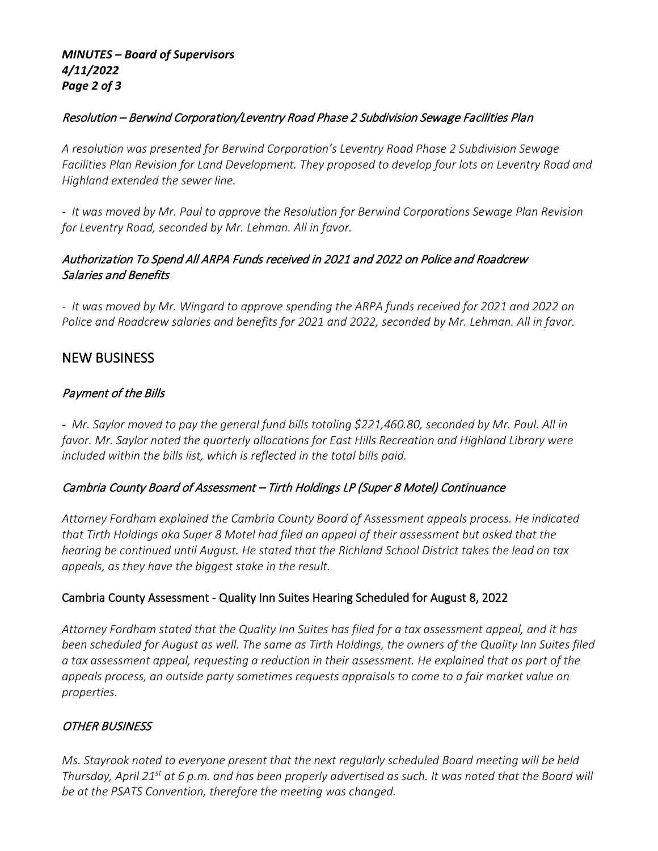## *MINUTES – Board of Supervisors 4/11/2022 Page 2 of 3*

## Resolution – Berwind Corporation/Leventry Road Phase 2 Subdivision Sewage Facilities Plan

*A resolution was presented for Berwind Corporation's Leventry Road Phase 2 Subdivision Sewage Facilities Plan Revision for Land Development. They proposed to develop four lots on Leventry Road and Highland extended the sewer line.*

*- It was moved by Mr. Paul to approve the Resolution for Berwind Corporations Sewage Plan Revision for Leventry Road, seconded by Mr. Lehman. All in favor.*

## Authorization To Spend All ARPA Funds received in 2021 and 2022 on Police and Roadcrew Salaries and Benefits

*- It was moved by Mr. Wingard to approve spending the ARPA funds received for 2021 and 2022 on Police and Roadcrew salaries and benefits for 2021 and 2022, seconded by Mr. Lehman. All in favor.*

## NEW BUSINESS

## Payment of the Bills

- *Mr. Saylor moved to pay the general fund bills totaling \$221,460.80, seconded by Mr. Paul. All in favor. Mr. Saylor noted the quarterly allocations for East Hills Recreation and Highland Library were included within the bills list, which is reflected in the total bills paid.*

## Cambria County Board of Assessment – Tirth Holdings LP (Super 8 Motel) Continuance

*Attorney Fordham explained the Cambria County Board of Assessment appeals process. He indicated that Tirth Holdings aka Super 8 Motel had filed an appeal of their assessment but asked that the hearing be continued until August. He stated that the Richland School District takes the lead on tax appeals, as they have the biggest stake in the result.* 

## Cambria County Assessment - Quality Inn Suites Hearing Scheduled for August 8, 2022

*Attorney Fordham stated that the Quality Inn Suites has filed for a tax assessment appeal, and it has been scheduled for August as well. The same as Tirth Holdings, the owners of the Quality Inn Suites filed a tax assessment appeal, requesting a reduction in their assessment. He explained that as part of the appeals process, an outside party sometimes requests appraisals to come to a fair market value on properties.*

## OTHER BUSINESS

*Ms. Stayrook noted to everyone present that the next regularly scheduled Board meeting will be held Thursday, April 21st at 6 p.m. and has been properly advertised as such. It was noted that the Board will be at the PSATS Convention, therefore the meeting was changed.*